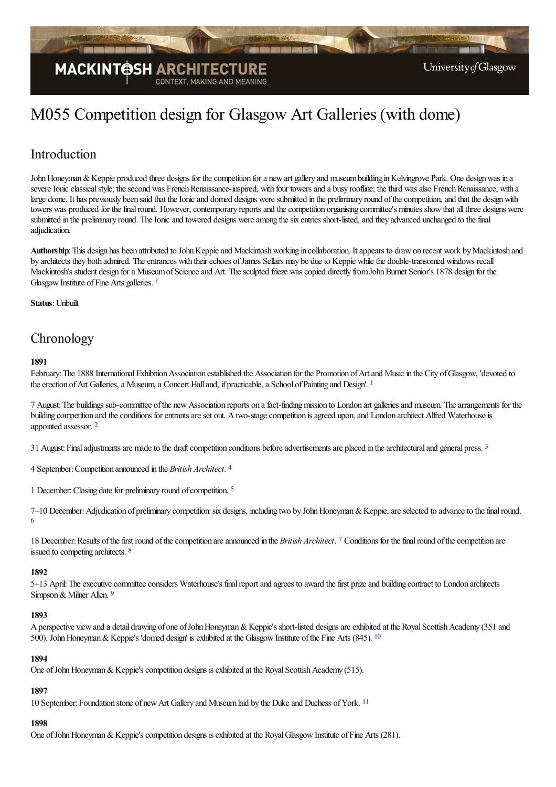

# M055 Competition design for Glasgow Art Galleries (with dome)

# Introduction

John Honeyman & Keppie produced three designs for the competition for a new art gallery and museum building in Kelvingrove Park. One design was in a severe Ionic classical style; the second was French Renaissance-inspired, with four towers and a busy roofline; the third was also French Renaissance, with a large dome. It has previously been said that the Ionic and domed designs were submitted in the preliminary round of the competition, and that the design with towers was produced for the final round. However, contemporary reports and the competition organising committee's minutes show that all three designs were submitted in the preliminary round. The Ionic and towered designs were among the six entries short-listed, and they advanced unchanged to the final adjudication.

Authorship: This design has been attributed to John Keppie and Mackintosh working in collaboration. It appears to draw on recent work by Mackintosh and by architects they both admired. The entrances with their echoes of James Sellars may be due to Keppie while the double-transomed windows recall Mackintosh's student design for a Museum of Science and Art. The sculpted frieze was copied directly from John Burnet Senior's 1878 design for the Glasgow Institute of Fine Arts galleries.<sup>[1](#page-3-0)</sup>

<span id="page-0-0"></span>**Status**: Unbuilt

# **Chronology**

#### <span id="page-0-1"></span>**1891**

February: The 1888 International Exhibition Association established the Association for the Promotion of Art and Music in the City of Glasgow, 'devoted to the erection of Art Galleries, a Museum, a Concert Hall and, if practicable, a School of Painting and Design'. <sup>[1](#page-3-1)</sup>

<span id="page-0-2"></span>7 August: The buildings sub-committee of the new Association reports on a fact-finding mission to London art galleries and museum. The arrangements for the building conpetition and the conditions for entrants are set out. A two-stage conpetition is agreed upon, and London architect Alfred Waterhouse is appointed assessor. [2](#page-3-2)

<span id="page-0-3"></span>[3](#page-3-3)1 August: Final adjustments are made to the draft competition conditions before advertisements are placed in the architectural and general press. <sup>3</sup>

<span id="page-0-4"></span>4 September:Competition announced in the *British Architect.* [4](#page-3-4)

<span id="page-0-5"></span>1 December: Closing date for preliminary round of competition. <sup>[5](#page-3-5)</sup>

<span id="page-0-6"></span>7-10 December: Adjudication of preliminary competition: six designs, including two by John Honeyman & Keppie, are selected to advance to the final round. [6](#page-3-6)

<span id="page-0-8"></span><span id="page-0-7"></span>18 December: Results of the first round of the competition are announced in the *British Architect*. [7](#page-3-7) Conditions for the final round of the competition are issued to competing architects. [8](#page-3-8)

#### **1892**

<span id="page-0-9"></span>5–13 April: The executive committee considers Waterhouse's final report and agrees to award the first prize and building contract to London architects Simpson & Milner Allen. [9](#page-3-9)

#### **1893**

A perspective view and a detail drawing of one of John Honeyman & Keppie's short-listed designs are exhibited at the Royal Scottish Academy (351 and 500). John Honeyman & Keppie's 'domed design' is exhibited at the Glasgow Institute of the Fine Arts (845). <sup>[10](#page-3-10)</sup>

#### <span id="page-0-10"></span>**1894**

One of John Honeyman & Keppie's competition designs is exhibited at the Royal Scottish Academy (515).

## <span id="page-0-11"></span>**1897**

10 September: Foundation stone of new Art Gallery and Museum laid by the Duke and Duchess of York. <sup>[11](#page-3-11)</sup>

## **1898**

One of John Honeyman & Keppie's competition designs is exhibited at the Royal Glasgow Institute of Fine Arts (281).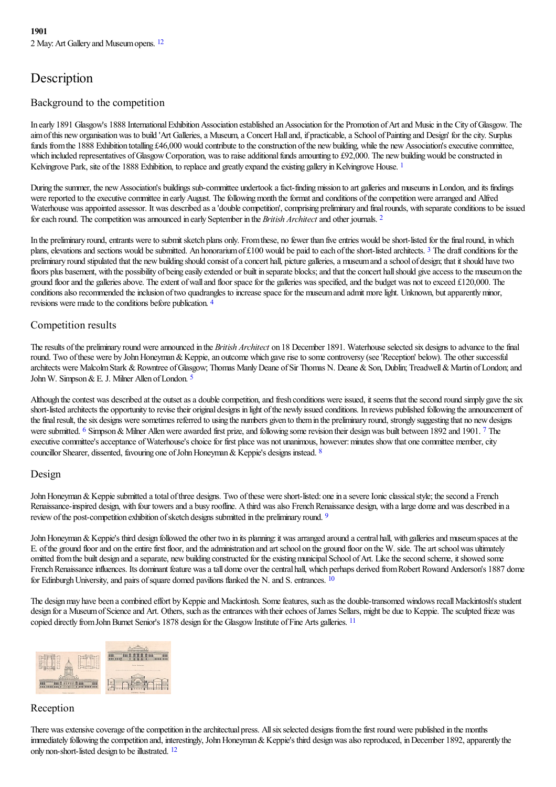# <span id="page-1-0"></span>Description

## Background to the competition

In early 1891 Glasgow's 1888 International Exhibition Association established an Association for the Promotion of Art and Music in the City of Glasgow. The aim of this new organisation was to build 'Art Galleries, a Museum, a Concert Hall and, if practicable, a School of Painting and Design' for the city. Surplus funds from the 1888 Exhibition totalling £46,000 would contribute to the construction of the new building, while the new Association's executive committee, which included representatives of Glasgow Corporation, was to raise additional funds amounting to £92,000. The new building would be constructed in Kelvingrove Park, site of the [1](#page-3-13)888 Exhibition, to replace and greatly expand the existing gallery in Kelvingrove House. <sup>1</sup>

<span id="page-1-2"></span><span id="page-1-1"></span>During the summer, the new Association's buildings sub-committee undertook a fact-finding mission to art galleries and museums in London, and its findings were reported to the executive committee in early August. The following month the format and conditions of the competition were arranged and Alfred Waterhouse was appointed assessor. It was described as a 'double competition', comprising preliminary and final rounds, with separate conditions to be issued for each round. The competition was announced in early September in the *British Architect* and other journals. <sup>[2](#page-3-14)</sup>

<span id="page-1-3"></span>In the preliminary round, entrants were to submit sketch plans only. From these, no fewer than five entries would be short-listed for the final round, in which plans, elevations and sections would be submitted. An honorarium of £100 would be paid to each of the short-listed architects. <sup>[3](#page-3-15)</sup> The draft conditions for the preliminary round stipulated that the new building should consist of a concert hall, picture galleries, a museum and a school of design; that it should have two floors plus basement, with the possibility of being easily extended or built in separate blocks; and that the concert hall should give access to the museum on the ground floor and the galleries above. The extent of wall and floor space for the galleries was specified, and the budget was not to exceed £120,000. The conditions also recommended the inclusion of two quadrangles to increase space for the museum and admit more light. Unknown, but apparently minor, revisions were made to the conditions before publication. [4](#page-3-16)

## <span id="page-1-4"></span>Competition results

The results of the preliminary round were announced in the *British Architect* on 18 December 1891. Waterhouse selected six designs to advance to the final round. Two of these were by John Honeyman & Keppie, an outcome which gave rise to some controversy (see 'Reception' below). The other successful architects were Malcolm Stark & Rowntree of Glasgow; Thomas Manly Deane of Sir Thomas N. Deane & Son, Dublin; Treadwell & Martin of London; and John W. Simpson & E. J. Milner Allen of London.<sup>[5](#page-3-17)</sup>

<span id="page-1-7"></span><span id="page-1-6"></span><span id="page-1-5"></span>Although the contest was described at the outset as a double competition, and fresh conditions were issued, it seems that the second round simply gave the six short-listed architects the opportunity to revise their original designs in light of the newly issued conditions. In reviews published following the announcement of the final result, the six designs were sometimes referred to using the numbers given to them in the preliminary round, strongly suggesting that no new designs were submitted. <sup>[6](#page-4-0)</sup> Simpson & Milner Allen were awarded first prize, and following some revision their design was built between 1892 and 1901. <sup>[7](#page-4-1)</sup> The executive committee's acceptance of Waterhouse's choice for first place was not unanimous, however: minutes show that one committee member, city councillor Shearer, dissented, favouring one of John Honeyman & Keppie's designs instead. [8](#page-4-2)

#### <span id="page-1-8"></span>Design

John Honeyman & Keppie submitted a total of three designs. Two of these were short-listed: one in a severe Ionic classical style; the second a French Renaissance-inspired design, with four towers and a busy roofline. A third was also French Renaissance design, with a large dome and was described in a review of the post-competition exhibition of sketch designs submitted in the preliminary round. <sup>[9](#page-4-3)</sup>

<span id="page-1-9"></span>John Honeyman & Keppie's third design followed the other two in its planning: it was arranged around a central hall, with galleries and museum spaces at the E. of the ground floor and on the entire first floor, and the administration and art school on the ground floor on the W. side. The art school was ultimately omitted from the built design and a separate, new building constructed for the existing municipal School of Art. Like the second scheme, it showed some French Renaissance influences. Its dominant feature was a tall dome over the central hall, which perhaps derived from Robert Rowand Anderson's 1887 dome for Edinburgh University, and pairs of square domed pavilions flanked the N. and S. entrances.  $10$ 

<span id="page-1-11"></span><span id="page-1-10"></span>The design may have been a combined effort by Keppie and Mackintosh. Some features, such as the double-transomed windows recall Mackintosh's student design for a Museum of Science and Art. Others, such as the entrances with their echoes of James Sellars, might be due to Keppie. The sculpted frieze was copied directly from John Burnet Senior's 1878 design for the Glasgow Institute of Fine Arts galleries. <sup>[11](#page-4-5)</sup>



## Reception

<span id="page-1-12"></span>There was extensive coverage of the competition in the architectual press. All six selected designs from the first round were published in the months immediately following the competition and, interestingly, John Honeyman & Keppie's third design was also reproduced, in December 1892, apparently the only non-short-listed design to be illustrated. <sup>[12](#page-4-6)</sup>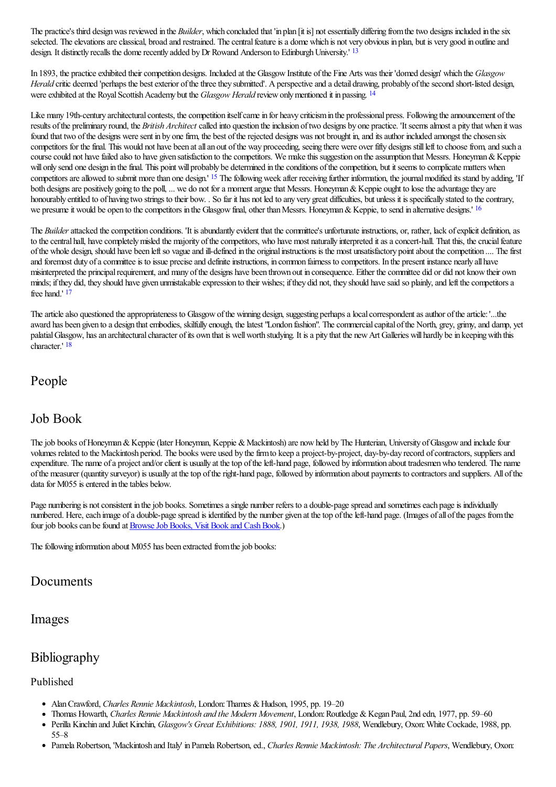<span id="page-2-0"></span>The practice's third design was reviewed in the *Builder*, which concluded that 'in plan [it is] not essentially differing from the two designs included in the six selected. The elevations are classical, broad and restrained. The central feature is a dome which is not very obvious in plan, but is very good in outline and design. It distinctly recalls the dome recently added by Dr Rowand Anderson to Edinburgh University.' <sup>[13](#page-4-7)</sup>

<span id="page-2-1"></span>In 1893, the practice exhibited their competition designs. Included at the Glasgow Institute of the Fine Arts was their 'domed design' which the *Glasgow Herald* critic deemed 'perhaps the best exterior of the three they submitted'. A perspective and a detail drawing, probably of the second short-listed design, were exhibited at the Royal Scottish Academy but the *Glasgow Herald* review only mentioned it in passing. <sup>[14](#page-4-8)</sup>

Like many 19th-century architectural contests, the competition itself came in for heavy criticism in the professional press. Following the announcement of the results ofthe preliminary round, the *British Architect* called into question theinclusion oftwo designs by one practice. 'Itseemsalmosta pity that when it was found that two of the designs were sent in by one firm, the best of the rejected designs was not brought in, and its author included amongst the chosen six competitors for the final. This would not have been at all an out of the way proceeding, seeing there were over fifty designs still left to choose from, and such a course could not have failed also to have given satisfaction to the competitors. We make this suggestion on the assumption that Messrs. Honeyman & Keppie will only send one design in the final. This point will probably be determined in the conditions of the competition, but it seems to complicate matters when competitors are allowed to submit more than one design.' <sup>[15](#page-4-9)</sup> The following week after receiving further information, the journal modified its stand by adding, 'If both designs are positively going to the poll, ... we do not for a moment argue that Messrs. Honeyman & Keppie ought to lose the advantage they are honourably entitled to of having two strings to their bow. . So far it has not led to any very great difficulties, but unless it is specifically stated to the contrary, we presume it would be open to the competitors in the Glasgow final, other than Messrs. Honeyman & Keppie, to send in alternative designs.'  $16$ 

<span id="page-2-3"></span><span id="page-2-2"></span>The *Builder* attacked the competition conditions. 'It is abundantly evident that the committee's unfortunate instructions, or, rather, lack of explicit definition, as to the central hall, have completely misled the majority of the competitors, who have most naturally interpreted it as a concert-hall. That this, the crucial feature of the whole design, should have been left so vague and ill-defined in the original instructions is the most unsatisfactory point about the competition .... The first and foremost duty of a committee is to issue precise and definite instructions, in common fairness to competitors. In the present instance nearly all have misinterpreted the principal requirement, and many of the designs have been thrown out in consequence. Either the committee did or did not know their own minds; if they did, they should have given unmistakable expression to their wishes; if they did not, they should have said so plainly, and left the competitors a free hand.' [17](#page-4-11)

<span id="page-2-5"></span><span id="page-2-4"></span>The article also questioned the appropriateness to Glasgow of the winning design, suggesting perhaps a local correspondent as author of the article: '...the award has been given to a design that embodies, skilfully enough, the latest "London fashion". The commercial capital of the North, grey, grimy, and damp, yet palatial Glasgow, has an architectural character of its own that is well worth studying. It is a pity that the new Art Galleries will hardly be in keeping with this character.' [18](#page-4-12)

# People

# Job Book

The job books of Honeyman & Keppie (later Honeyman, Keppie & Mackintosh) are now held by The Hunterian, University of Glasgow and include four volumes related to the Mackintosh period. The books were used by thefirmto keep a project-by-project, day-by-day record ofcontractors, suppliersand expenditure. The name of a project and/or client is usually at the top of the left-hand page, followed by information about tradesmen who tendered. The name ofthe measurer (quantity surveyor) is usually at thetop oftheright-hand page, followed by information about payments to contractorsand suppliers. All ofthe data for M055 is entered in the tables below.

Page numbering is not consistent in the job books. Sometimes a single number refers to a double-page spread and sometimes each page is individually numbered. Here, each image of a double-page spread is identified by the number given at the top of the left-hand page. (Images of all of the pages from the four job books can be found at **Browse Job Books**, Visit Book and Cash Book.)

The following information about M055 has been extracted from the job books:

# Documents

## Images

# Bibliography

## Published

- Alan Crawford, *Charles Rennie Mackintosh*, London: Thames & Hudson, 1995, pp. 19–20
- Thomas Howarth, *Charles Rennie Mackintosh and the Modern Movement*, London:Routledge &Kegan Paul, 2nd edn, 1977, pp. 59–60
- Perilla Kinchin and Juliet Kinchin, *Glasgow's Great Exhibitions: 1888, 1901, 1911, 1938, 1988*, Wendlebury, Oxon:White Cockade, 1988, pp.  $\bullet$ 55–8
- Pamela Robertson, 'Mackintosh and Italy' in Pamela Robertson,ed., *Charles Rennie Mackintosh: The Architectural Papers*, Wendlebury, Oxon: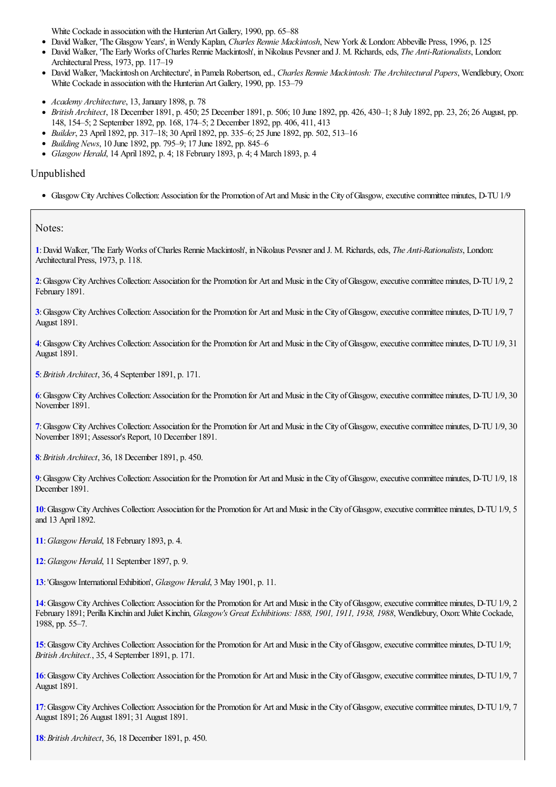White Cockade in association with the Hunterian Art Gallery, 1990, pp. 65–88

- David Walker, 'The GlasgowYears', inWendyKaplan, *Charles Rennie Mackintosh*, NewYork &London:Abbeville Press, 1996, p. 125
- David Walker, 'The Early Works of Charles Rennie Mackintosh', in Nikolaus Pevsner and J. M. Richards, eds, *The Anti-Rationalists*, London: Architectural Press, 1973, pp. 117–19
- David Walker, 'Mackintosh on Architecture', in Pamela Robertson, ed., *Charles Rennie Mackintosh: The Architectural Papers*, Wendlebury, Oxon: White Cockade in association with the Hunterian Art Gallery, 1990, pp. 153–79
- *Academy Architecture*, 13, January 1898, p. 78
- *British Architect*, 18 December 1891, p. 450; 25 December 1891, p. 506; 10 June 1892, pp. 426, 430–1; 8 July 1892, pp. 23, 26; 26 August, pp. 148, 154–5; 2 September 1892, pp. 168, 174–5; 2 December 1892, pp. 406, 411, 413
- *Builder*, 23 April 1892, pp. 317–18; 30 April 1892, pp. 335–6; 25 June 1892, pp. 502, 513–16
- *Building News*, 10 June 1892, pp. 795–9; 17 June 1892, pp. 845–6
- *Glasgow Herald*, 14 April 1892, p. 4; 18 February 1893, p. 4; 4 March 1893, p. 4

#### Unpublished

• Glasgow City Archives Collection: Association for the Promotion of Art and Music in the City of Glasgow, executive committee minutes, D-TU 1/9

Notes:

<span id="page-3-0"></span>**[1](#page-0-0)**:David Walker, 'The EarlyWorks ofCharles Rennie Mackintosh', inNikolaus Pevsnerand J. M. Richards,eds, *The Anti-Rationalists*, London: Architectural Press, 1973, p. 118.

<span id="page-3-1"></span>**[2](#page-0-1)**:GlasgowCityArchives Collection:Association for the Promotion for Artand Musicin the City ofGlasgow,executivecommittee minutes, D-TU1/9, 2 February 1891.

<span id="page-3-2"></span>**[3](#page-0-2)**: Glasgow City Archives Collection: Association for the Promotion for Art and Music in the City of Glasgow, executive committee minutes, D-TU 1/9, 7 August 1891.

<span id="page-3-3"></span>**[4](#page-0-3)**:GlasgowCityArchives Collection:Association for the Promotion for Artand Musicin the City ofGlasgow,executivecommittee minutes, D-TU1/9, 31 August 1891.

<span id="page-3-4"></span>**[5](#page-0-4)**:*British Architect*, 36, 4 September 1891, p. 171.

<span id="page-3-5"></span>**[6](#page-0-5)**:GlasgowCityArchives Collection:Association for the Promotion for Artand Musicin the City ofGlasgow,executivecommittee minutes, D-TU1/9, 30 November 1891.

<span id="page-3-6"></span>**[7](#page-0-6)**:GlasgowCityArchives Collection:Association for the Promotion for Artand Musicin the City ofGlasgow,executivecommittee minutes, D-TU1/9, 30 November 1891; Assessor's Report, 10 December 1891.

<span id="page-3-7"></span>**[8](#page-0-7)**:*British Architect*, 36, 18 December 1891, p. 450.

<span id="page-3-8"></span>**[9](#page-0-8)**: Glasgow City Archives Collection: Association for the Promotion for Art and Music in the City of Glasgow, executive committee minutes, D-TU 1/9, 18 December 1891.

<span id="page-3-9"></span>[10](#page-0-9): Glasgow City Archives Collection: Association for the Promotion for Art and Music in the City of Glasgow, executive committee minutes, D-TU 1/9, 5 and 13 April 1892.

<span id="page-3-10"></span>**[11](#page-0-10)**:*Glasgow Herald*, 18 February 1893, p. 4.

<span id="page-3-11"></span>**[12](#page-0-11)**:*Glasgow Herald*, 11 September 1897, p. 9.

<span id="page-3-12"></span>**[13](#page-1-0)**:'GlasgowInternationalExhibition', *Glasgow Herald*, 3 May 1901, p. 11.

<span id="page-3-13"></span>[14](#page-1-1): Glasgow City Archives Collection: Association for the Promotion for Art and Music in the City of Glasgow, executive committee minutes, D-TU 1/9, 2 February 1891; Perilla Kinchin and Juliet Kinchin, *Glasgow's Great Exhibitions: 1888, 1901, 1911, 1938, 1988*, Wendlebury, Oxon:White Cockade, 1988, pp. 55–7.

<span id="page-3-14"></span>[15](#page-1-2): Glasgow City Archives Collection: Association for the Promotion for Art and Music in the City of Glasgow, executive committee minutes, D-TU 1/9; *British Architect.*, 35, 4 September 1891, p. 171.

<span id="page-3-15"></span>**[16](#page-1-3)**: Glasgow City Archives Collection: Association for the Promotion for Art and Music in the City of Glasgow, executive committee minutes, D-TU 1/9, 7 August 1891.

<span id="page-3-16"></span>[17](#page-1-4): Glasgow City Archives Collection: Association for the Promotion for Art and Music in the City of Glasgow, executive committee minutes, D-TU 1/9, 7 August 1891; 26 August 1891; 31 August 1891.

<span id="page-3-17"></span>**[18](#page-1-5)**:*British Architect*, 36, 18 December 1891, p. 450.